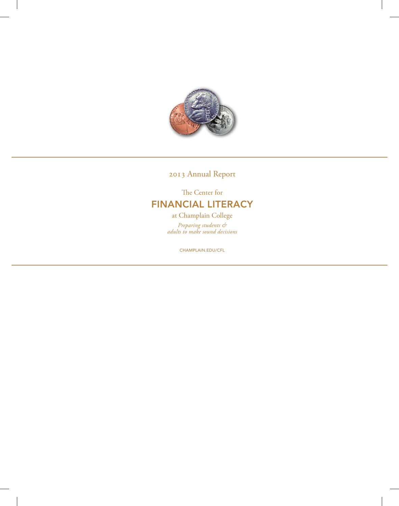

2013 Annual Report

The Center for FINANCIAL LITERACY at Champlain College *Preparing students &* 

CHAMPLAIN.EDU/CFL

*adults to make sound decisions*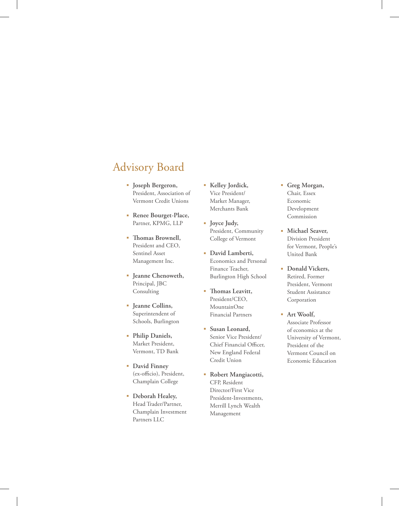### Advisory Board

- **Joseph Bergeron,**  President, Association of Vermont Credit Unions
- **Renee Bourget-Place,**  Partner, KPMG, LLP
- **Thomas Brownell,**  President and CEO, Sentinel Asset Management Inc.
- **Jeanne Chenoweth,**  Principal, JBC Consulting
- **Jeanne Collins,**  Superintendent of Schools, Burlington
- **Philip Daniels,**  Market President, Vermont, TD Bank
- **David Finney** (ex-officio), President, Champlain College
- **Deborah Healey,**  Head Trader/Partner, Champlain Investment Partners LLC
- **Kelley Jordick,** Vice President/ Market Manager, Merchants Bank
- **Joyce Judy,**  President, Community College of Vermont
- **David Lamberti,**  Economics and Personal Finance Teacher, Burlington High School
- **Thomas Leavitt,**  President/CEO, MountainOne Financial Partners
- **Susan Leonard,**  Senior Vice President/ Chief Financial Officer, New England Federal Credit Union
- **Robert Mangiacotti,**  CFP, Resident Director/First Vice President-Investments, Merrill Lynch Wealth Management
- **Greg Morgan,**  Chair, Essex Economic Development Commission
- **Michael Seaver,**  Division President for Vermont, People's United Bank
- **Donald Vickers,** Retired, Former President, Vermont Student Assistance Corporation
- **Art Woolf,**  Associate Professor of economics at the University of Vermont, President of the Vermont Council on Economic Education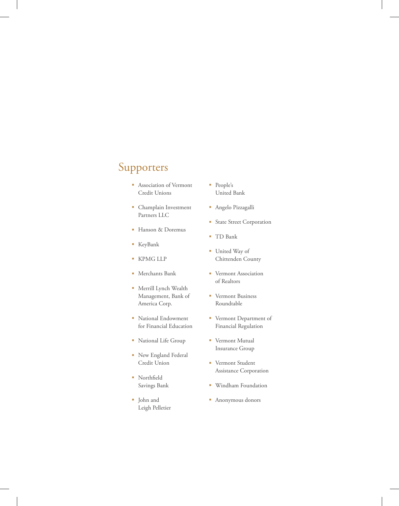## Supporters

- Association of Vermont Credit Unions
- Champlain Investment Partners LLC
- Hanson & Doremus
- KeyBank
- KPMG LLP
- Merchants Bank
- Merrill Lynch Wealth Management, Bank of America Corp.
- National Endowment for Financial Education
- National Life Group
- New England Federal Credit Union
- **Northfield** Savings Bank
- John and Leigh Pelletier
- People's United Bank
- Angelo Pizzagalli
- **State Street Corporation**
- TD Bank
- United Way of Chittenden County
- **Vermont Association** of Realtors
- **Vermont Business** Roundtable
- Vermont Department of Financial Regulation
- **•** Vermont Mutual Insurance Group
- **•** Vermont Student Assistance Corporation
- Windham Foundation
- Anonymous donors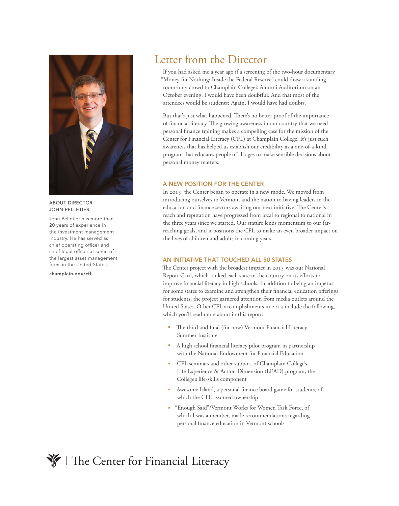

ABOUT DIRECTOR JOHN PELLETIER

John Pelletier has more than 20 years of experience in the investment management industry. He has served as chief operating officer and chief legal officer at some of the largest asset management firms in the United States.

#### champlain.edu/cfl

### Letter from the Director

If you had asked me a year ago if a screening of the two-hour documentary "Money for Nothing: Inside the Federal Reserve" could draw a standingroom-only crowd to Champlain College's Alumni Auditorium on an October evening, I would have been doubtful. And that most of the attendees would be students? Again, I would have had doubts.

But that's just what happened. There's no better proof of the importance of financial literacy. The growing awareness in our country that we need personal finance training makes a compelling case for the mission of the Center for Financial Literacy (CFL) at Champlain College. It's just such awareness that has helped us establish our credibility as a one-of-a-kind program that educates people of all ages to make sensible decisions about personal money matters.

#### A NEW POSITION FOR THE CENTER

In 2013, the Center began to operate in a new mode. We moved from introducing ourselves to Vermont and the nation to having leaders in the education and finance sectors awaiting our next initiative. The Center's reach and reputation have progressed from local to regional to national in the three years since we started. Our stature lends momentum to our farreaching goals, and it positions the CFL to make an even broader impact on the lives of children and adults in coming years.

### AN INITIATIVE THAT TOUCHED ALL 50 STATES

The Center project with the broadest impact in 2013 was our National Report Card, which ranked each state in the country on its efforts to improve financial literacy in high schools. In addition to being an impetus for some states to examine and strengthen their financial education offerings for students, the project garnered attention from media outlets around the United States. Other CFL accomplishments in 2013 include the following, which you'll read more about in this report:

- The third and final (for now) Vermont Financial Literacy Summer Institute
- A high school financial literacy pilot program in partnership with the National Endowment for Financial Education
- CFL seminars and other support of Champlain College's Life Experience & Action Dimension (LEAD) program, the College's life-skills component
- Awesome Island, a personal finance board game for students, of which the CFL assumed ownership
- **Enough Said"/Vermont Works for Women Task Force, of** which I was a member, made recommendations regarding personal finance education in Vermont schools

### The Center for Financial Literacy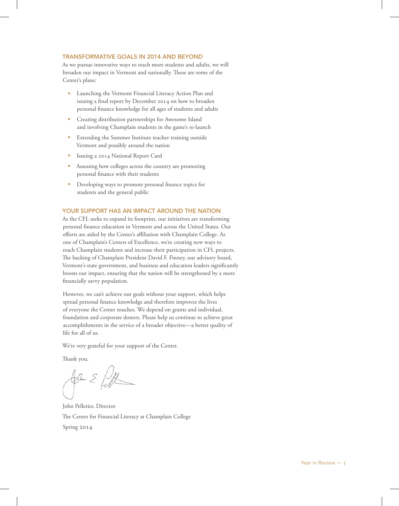### TRANSFORMATIVE GOALS IN 2014 AND BEYOND

As we pursue innovative ways to reach more students and adults, we will broaden our impact in Vermont and nationally. These are some of the Center's plans:

- Launching the Vermont Financial Literacy Action Plan and issuing a final report by December 2014 on how to broaden personal finance knowledge for all ages of students and adults
- **Creating distribution partnerships for Awesome Island** and involving Champlain students in the game's re-launch
- **Extending the Summer Institute teacher training outside** Vermont and possibly around the nation
- Issuing a 2014 National Report Card
- Assessing how colleges across the country are promoting personal finance with their students
- **•** Developing ways to promote personal finance topics for students and the general public

### YOUR SUPPORT HAS AN IMPACT AROUND THE NATION

As the CFL seeks to expand its footprint, our initiatives are transforming personal finance education in Vermont and across the United States. Our efforts are aided by the Center's affiliation with Champlain College. As one of Champlain's Centers of Excellence, we're creating new ways to reach Champlain students and increase their participation in CFL projects. The backing of Champlain President David F. Finney, our advisory board, Vermont's state government, and business and education leaders significantly boosts our impact, ensuring that the nation will be strengthened by a more financially savvy population.

However, we can't achieve our goals without your support, which helps spread personal finance knowledge and therefore improves the lives of everyone the Center touches. We depend on grants and individual, foundation and corporate donors. Please help us continue to achieve great accomplishments in the service of a broader objective—a better quality of life for all of us.

We're very grateful for your support of the Center.

Thank you.

Sincerely,

John Pelletier, Director The Center for Financial Literacy at Champlain College Spring 2014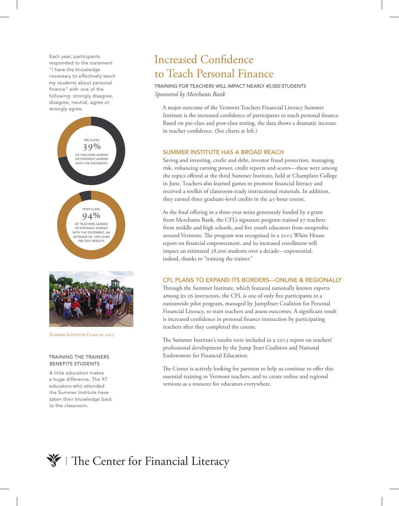Each year, participants responded to the statement "I have the knowledge necessary to effectively teach my students about personal finance" with one of the following: strongly disagree, disagree, neutral, agree or strongly agree.



SUMMER INSTITUTE CLASS OF 2013

#### TRAINING THE TRAINERS BENEFITS STUDENTS

A little education makes a huge difference. The 97 educators who attended the Summer Institute have taken their knowledge back to the classroom.

## Increased Confidence to Teach Personal Finance

TRAINING FOR TEACHERS WILL IMPACT NEARLY 40,000 STUDENTS *Sponsored by Merchants Bank*

A major outcome of the Vermont Teachers Financial Literacy Summer Institute is the increased confidence of participants to teach personal finance. Based on pre-class and post-class testing, the data shows a dramatic increase in teacher confidence. (See charts at left.)

### SUMMER INSTITUTE HAS A BROAD REACH

Saving and investing, credit and debt, investor fraud protection, managing risk, enhancing earning power, credit reports and scores—these were among the topics offered at the third Summer Institute, held at Champlain College in June. Teachers also learned games to promote financial literacy and received a toolkit of classroom-ready instructional materials. In addition, they earned three graduate-level credits in the 45-hour course.

As the final offering in a three-year series generously funded by a grant from Merchants Bank, the CFL's signature program trained 97 teachers from middle and high schools, and five youth educators from nonprofits around Vermont. The program was recognized in a 2012 White House report on financial empowerment, and its increased enrollment will impact an estimated 38,000 students over a decade—exponential, indeed, thanks to "training the trainer."

### CFL PLANS TO EXPAND ITS BORDERS—ONLINE & REGIONALLY

Through the Summer Institute, which featured nationally known experts among its 26 instructors, the CFL is one of only five participants in a nationwide pilot program, managed by Jump\$tart Coalition for Personal Financial Literacy, to train teachers and assess outcomes. A significant result is increased confidence in personal finance instruction by participating teachers after they completed the course.

The Summer Institute's results were included in a 2013 report on teachers' professional development by the Jump \$tart Coalition and National Endowment for Financial Education.

The Center is actively looking for partners to help us continue to offer this essential training to Vermont teachers, and to create online and regional versions as a resource for educators everywhere.

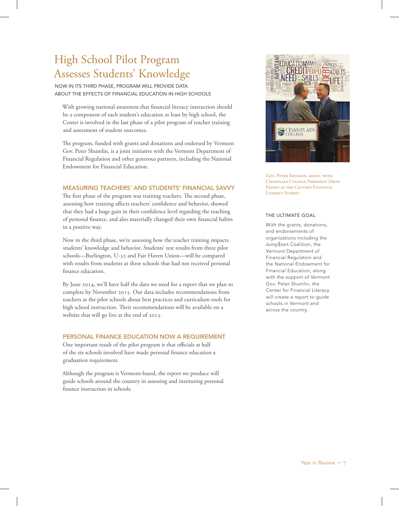## High School Pilot Program Assesses Students' Knowledge

NOW IN ITS THIRD PHASE, PROGRAM WILL PROVIDE DATA ABOUT THE EFFECTS OF FINANCIAL EDUCATION IN HIGH SCHOOLS

With growing national awareness that financial literacy instruction should be a component of each student's education at least by high school, the Center is involved in the last phase of a pilot program of teacher training and assessment of student outcomes.

The program, funded with grants and donations and endorsed by Vermont Gov. Peter Shumlin, is a joint initiative with the Vermont Department of Financial Regulation and other generous partners, including the National Endowment for Financial Education.

### MEASURING TEACHERS' AND STUDENTS' FINANCIAL SAVVY

The first phase of the program was training teachers. The second phase, assessing how training affects teachers' confidence and behavior, showed that they had a huge gain in their confidence level regarding the teaching of personal finance, and also materially changed their own financial habits in a positive way.

Now in the third phase, we're assessing how the teacher training impacts students' knowledge and behavior. Students' test results from three pilot schools—Burlington, U-32 and Fair Haven Union—will be compared with results from students at three schools that had not received personal finance education.

By June 2014, we'll have half the data we need for a report that we plan to complete by November 2015. Our data includes recommendations from teachers at the pilot schools about best practices and curriculum tools for high school instruction. Their recommendations will be available on a website that will go live at the end of 2015.

### PERSONAL FINANCE EDUCATION NOW A REQUIREMENT

One important result of the pilot program is that officials at half of the six schools involved have made personal finance education a graduation requirement.

Although the program is Vermont-based, the report we produce will guide schools around the country in assessing and instituting personal finance instruction in schools.



Gov. Peter Shumlin, right, with Champlain College President David FINNEY AT THE CENTER'S FINANCIAL Literacy Summit.

### THE ULTIMATE GOAL

With the grants, donations, and endorsements of organizations including the Jump\$tart Coalition, the Vermont Department of Financial Regulation and the National Endowment for Financial Education, along with the support of Vermont Gov. Peter Shumlin, the Center for Financial Literacy will create a report to guide schools in Vermont and across the country.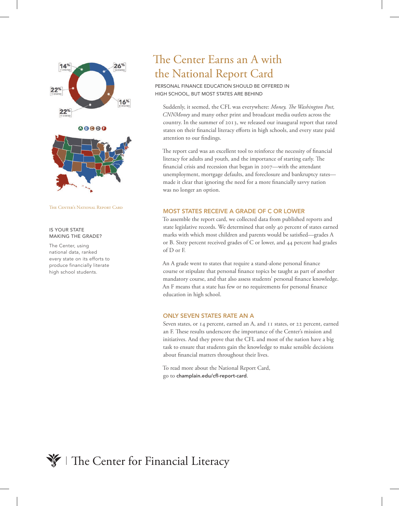

The Center's National Report Card

### IS YOUR STATE MAKING THE GRADE?

The Center, using national data, ranked every state on its efforts to produce financially literate high school students.

## The Center Earns an A with the National Report Card

PERSONAL FINANCE EDUCATION SHOULD BE OFFERED IN HIGH SCHOOL, BUT MOST STATES ARE BEHIND

Suddenly, it seemed, the CFL was everywhere: *Money, The Washington Post, CNNMoney* and many other print and broadcast media outlets across the country. In the summer of 2013, we released our inaugural report that rated states on their financial literacy efforts in high schools, and every state paid attention to our findings.

The report card was an excellent tool to reinforce the necessity of financial literacy for adults and youth, and the importance of starting early. The financial crisis and recession that began in 2007—with the attendant unemployment, mortgage defaults, and foreclosure and bankruptcy rates made it clear that ignoring the need for a more financially savvy nation was no longer an option.

### MOST STATES RECEIVE A GRADE OF C OR LOWER

To assemble the report card, we collected data from published reports and state legislative records. We determined that only 40 percent of states earned marks with which most children and parents would be satisfied—grades A or B. Sixty percent received grades of C or lower, and 44 percent had grades of D or F.

An A grade went to states that require a stand-alone personal finance course or stipulate that personal finance topics be taught as part of another mandatory course, and that also assess students' personal finance knowledge. An F means that a state has few or no requirements for personal finance education in high school.

### ONLY SEVEN STATES RATE AN A

Seven states, or 14 percent, earned an A, and 11 states, or 22 percent, earned an F. These results underscore the importance of the Center's mission and initiatives. And they prove that the CFL and most of the nation have a big task to ensure that students gain the knowledge to make sensible decisions about financial matters throughout their lives.

To read more about the National Report Card, go to champlain.edu/cfl-report-card.

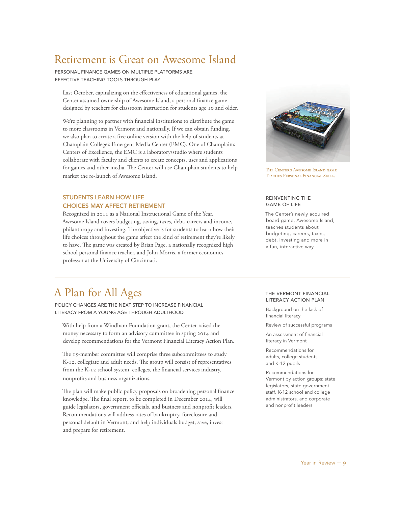### Retirement is Great on Awesome Island

PERSONAL FINANCE GAMES ON MULTIPLE PLATFORMS ARE EFFECTIVE TEACHING TOOLS THROUGH PLAY

Last October, capitalizing on the effectiveness of educational games, the Center assumed ownership of Awesome Island, a personal finance game designed by teachers for classroom instruction for students age 10 and older.

We're planning to partner with financial institutions to distribute the game to more classrooms in Vermont and nationally. If we can obtain funding, we also plan to create a free online version with the help of students at Champlain College's Emergent Media Center (EMC). One of Champlain's Centers of Excellence, the EMC is a laboratory/studio where students collaborate with faculty and clients to create concepts, uses and applications for games and other media. The Center will use Champlain students to help market the re-launch of Awesome Island.

### STUDENTS LEARN HOW LIFE CHOICES MAY AFFECT RETIREMENT

Recognized in 2011 as a National Instructional Game of the Year, Awesome Island covers budgeting, saving, taxes, debt, careers and income, philanthropy and investing. The objective is for students to learn how their life choices throughout the game affect the kind of retirement they're likely to have. The game was created by Brian Page, a nationally recognized high school personal finance teacher, and John Morris, a former economics professor at the University of Cincinnati.



The Center's Awesome Island game Teaches Personal Financial Skills

### REINVENTING THE GAME OF LIFE

The Center's newly acquired board game, Awesome Island, teaches students about budgeting, careers, taxes, debt, investing and more in a fun, interactive way.

### A Plan for All Ages

POLICY CHANGES ARE THE NEXT STEP TO INCREASE FINANCIAL LITERACY FROM A YOUNG AGE THROUGH ADULTHOOD

With help from a Windham Foundation grant, the Center raised the money necessary to form an advisory committee in spring 2014 and develop recommendations for the Vermont Financial Literacy Action Plan.

The 15-member committee will comprise three subcommittees to study K-12, collegiate and adult needs. The group will consist of representatives from the K-12 school system, colleges, the financial services industry, nonprofits and business organizations.

The plan will make public policy proposals on broadening personal finance knowledge. The final report, to be completed in December 2014, will guide legislators, government officials, and business and nonprofit leaders. Recommendations will address rates of bankruptcy, foreclosure and personal default in Vermont, and help individuals budget, save, invest and prepare for retirement.

### THE VERMONT FINANCIAL LITERACY ACTION PLAN

Background on the lack of financial literacy

Review of successful programs

An assessment of financial literacy in Vermont

Recommendations for adults, college students and K-12 pupils

Recommendations for Vermont by action groups: state legislators, state government staff, K-12 school and college administrators, and corporate and nonprofit leaders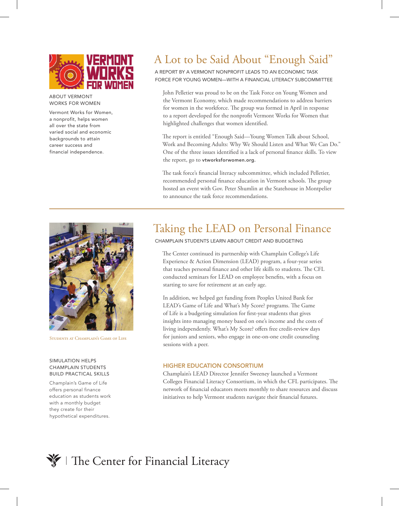

#### ABOUT VERMONT WORKS FOR WOMEN

Vermont Works for Women, a nonprofit, helps women all over the state from varied social and economic backgrounds to attain career success and financial independence.

# A Lot to be Said About "Enough Said"

A REPORT BY A VERMONT NONPROFIT LEADS TO AN ECONOMIC TASK FORCE FOR YOUNG WOMEN—WITH A FINANCIAL LITERACY SUBCOMMITTEE

John Pelletier was proud to be on the Task Force on Young Women and the Vermont Economy, which made recommendations to address barriers for women in the workforce. The group was formed in April in response to a report developed for the nonprofit Vermont Works for Women that highlighted challenges that women identified.

The report is entitled "Enough Said—Young Women Talk about School, Work and Becoming Adults: Why We Should Listen and What We Can Do." One of the three issues identified is a lack of personal finance skills. To view the report, go to vtworksforwomen.org.

The task force's financial literacy subcommittee, which included Pelletier, recommended personal finance education in Vermont schools. The group hosted an event with Gov. Peter Shumlin at the Statehouse in Montpelier to announce the task force recommendations.



STUDENTS AT CHAMPLAIN'S GAME OF LIFE

### SIMULATION HELPS CHAMPLAIN STUDENTS BUILD PRACTICAL SKILLS

Champlain's Game of Life offers personal finance education as students work with a monthly budget they create for their hypothetical expenditures.

## Taking the LEAD on Personal Finance

CHAMPLAIN STUDENTS LEARN ABOUT CREDIT AND BUDGETING

The Center continued its partnership with Champlain College's Life Experience & Action Dimension (LEAD) program, a four-year series that teaches personal finance and other life skills to students. The CFL conducted seminars for LEAD on employee benefits, with a focus on starting to save for retirement at an early age.

In addition, we helped get funding from Peoples United Bank for LEAD's Game of Life and What's My Score? programs. The Game of Life is a budgeting simulation for first-year students that gives insights into managing money based on one's income and the costs of living independently. What's My Score? offers free credit-review days for juniors and seniors, who engage in one-on-one credit counseling sessions with a peer.

### HIGHER EDUCATION CONSORTIUM

Champlain's LEAD Director Jennifer Sweeney launched a Vermont Colleges Financial Literacy Consortium, in which the CFL participates. The network of financial educators meets monthly to share resources and discuss initiatives to help Vermont students navigate their financial futures.

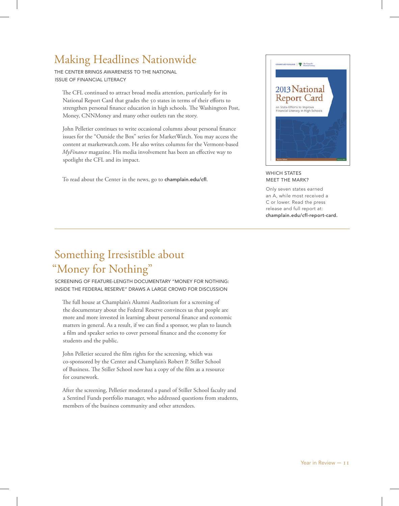# Making Headlines Nationwide

THE CENTER BRINGS AWARENESS TO THE NATIONAL ISSUE OF FINANCIAL LITERACY

The CFL continued to attract broad media attention, particularly for its National Report Card that grades the 50 states in terms of their efforts to strengthen personal finance education in high schools. The Washington Post, Money, CNNMoney and many other outlets ran the story.

John Pelletier continues to write occasional columns about personal finance issues for the "Outside the Box" series for MarketWatch. You may access the content at marketwatch.com. He also writes columns for the Vermont-based *MyFinance* magazine. His media involvement has been an effective way to spotlight the CFL and its impact.

To read about the Center in the news, go to champlain.edu/cfl.



WHICH STATES MEET THE MARK?

Only seven states earned an A, while most received a C or lower. Read the press release and full report at: champlain.edu/cfl-report-card.

## Something Irresistible about "Money for Nothing"

SCREENING OF FEATURE-LENGTH DOCUMENTARY "MONEY FOR NOTHING: INSIDE THE FEDERAL RESERVE" DRAWS A LARGE CROWD FOR DISCUSSION

The full house at Champlain's Alumni Auditorium for a screening of the documentary about the Federal Reserve convinces us that people are more and more invested in learning about personal finance and economic matters in general. As a result, if we can find a sponsor, we plan to launch a film and speaker series to cover personal finance and the economy for students and the public.

John Pelletier secured the film rights for the screening, which was co-sponsored by the Center and Champlain's Robert P. Stiller School of Business. The Stiller School now has a copy of the film as a resource for coursework.

After the screening, Pelletier moderated a panel of Stiller School faculty and a Sentinel Funds portfolio manager, who addressed questions from students, members of the business community and other attendees.